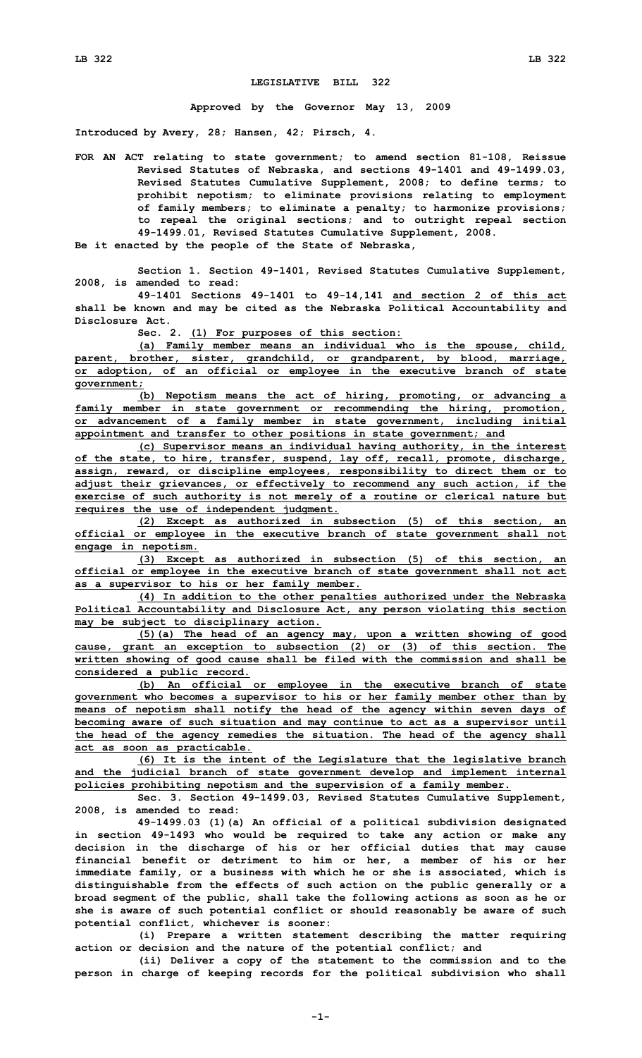## **LEGISLATIVE BILL 322**

**Approved by the Governor May 13, 2009**

**Introduced by Avery, 28; Hansen, 42; Pirsch, 4.**

**FOR AN ACT relating to state government; to amend section 81-108, Reissue Revised Statutes of Nebraska, and sections 49-1401 and 49-1499.03, Revised Statutes Cumulative Supplement, 2008; to define terms; to prohibit nepotism; to eliminate provisions relating to employment of family members; to eliminate <sup>a</sup> penalty; to harmonize provisions; to repeal the original sections; and to outright repeal section 49-1499.01, Revised Statutes Cumulative Supplement, 2008.**

**Be it enacted by the people of the State of Nebraska,**

**Section 1. Section 49-1401, Revised Statutes Cumulative Supplement, 2008, is amended to read:**

**49-1401 Sections 49-1401 to 49-14,141 and section 2 of this act shall be known and may be cited as the Nebraska Political Accountability and Disclosure Act.**

**Sec. 2. (1) For purposes of this section:**

**(a) Family member means an individual who is the spouse, child, parent, brother, sister, grandchild, or grandparent, by blood, marriage, or adoption, of an official or employee in the executive branch of state government;**

**(b) Nepotism means the act of hiring, promoting, or advancing <sup>a</sup> family member in state government or recommending the hiring, promotion, or advancement of <sup>a</sup> family member in state government, including initial appointment and transfer to other positions in state government; and**

**(c) Supervisor means an individual having authority, in the interest of the state, to hire, transfer, suspend, lay off, recall, promote, discharge, assign, reward, or discipline employees, responsibility to direct them or to adjust their grievances, or effectively to recommend any such action, if the exercise of such authority is not merely of <sup>a</sup> routine or clerical nature but requires the use of independent judgment.**

**(2) Except as authorized in subsection (5) of this section, an official or employee in the executive branch of state government shall not engage in nepotism.**

**(3) Except as authorized in subsection (5) of this section, an official or employee in the executive branch of state government shall not act as <sup>a</sup> supervisor to his or her family member.**

**(4) In addition to the other penalties authorized under the Nebraska Political Accountability and Disclosure Act, any person violating this section may be subject to disciplinary action.**

**(5)(a) The head of an agency may, upon <sup>a</sup> written showing of good cause, grant an exception to subsection (2) or (3) of this section. The written showing of good cause shall be filed with the commission and shall be considered <sup>a</sup> public record.**

**(b) An official or employee in the executive branch of state government who becomes <sup>a</sup> supervisor to his or her family member other than by means of nepotism shall notify the head of the agency within seven days of becoming aware of such situation and may continue to act as <sup>a</sup> supervisor until the head of the agency remedies the situation. The head of the agency shall act as soon as practicable.**

**(6) It is the intent of the Legislature that the legislative branch and the judicial branch of state government develop and implement internal policies prohibiting nepotism and the supervision of <sup>a</sup> family member.**

**Sec. 3. Section 49-1499.03, Revised Statutes Cumulative Supplement, 2008, is amended to read:**

**49-1499.03 (1)(a) An official of <sup>a</sup> political subdivision designated in section 49-1493 who would be required to take any action or make any decision in the discharge of his or her official duties that may cause financial benefit or detriment to him or her, <sup>a</sup> member of his or her immediate family, or <sup>a</sup> business with which he or she is associated, which is distinguishable from the effects of such action on the public generally or <sup>a</sup> broad segment of the public, shall take the following actions as soon as he or she is aware of such potential conflict or should reasonably be aware of such potential conflict, whichever is sooner:**

**(i) Prepare <sup>a</sup> written statement describing the matter requiring action or decision and the nature of the potential conflict; and**

**(ii) Deliver <sup>a</sup> copy of the statement to the commission and to the person in charge of keeping records for the political subdivision who shall**